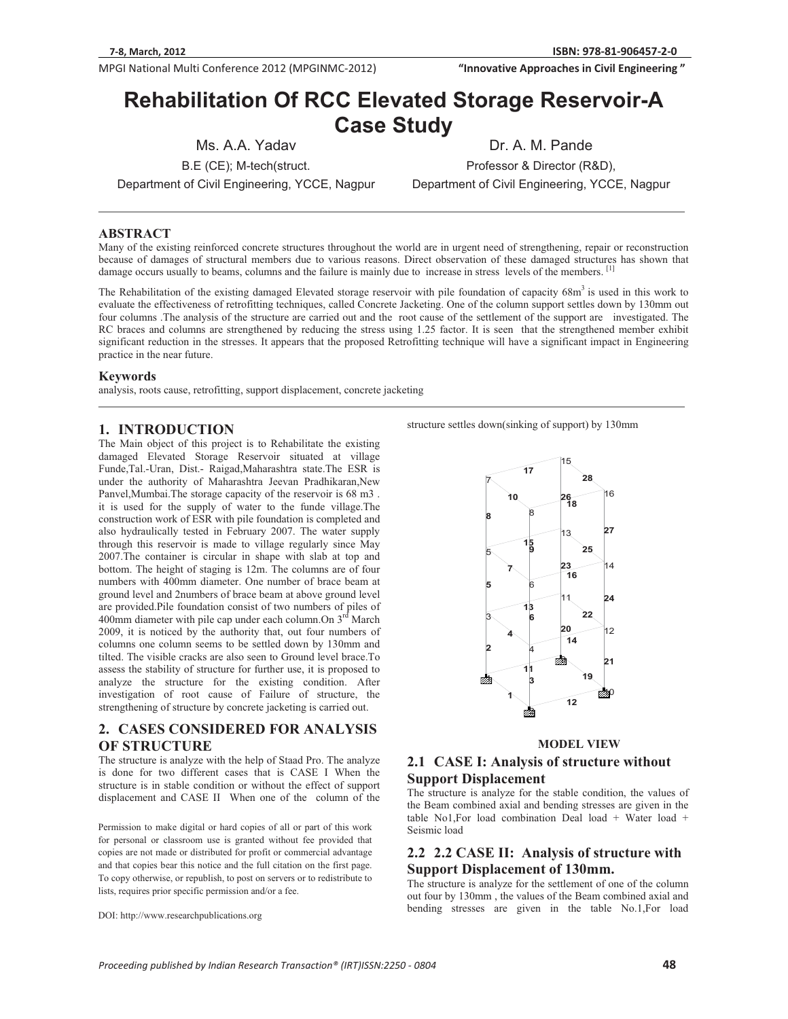**MPGI National Multi Conference 2012 (MPGINMC-2012) <b>The Conference of City Conference 2012** (MPGINMC-2012) **The Conference of City Conference 2012** (MPGINMC-2012)

**81-906457-2-0 "InnovativeApproachesinCivilEngineering"**

# **Rehabilitation Of RCC Elevated Storage Reservoir-A Case Study**

Ms. A.A. Yadav B.E (CE); M-tech(struct.

Department of Civil Engineering, YCCE, Nagpur

Professor & Director (R&D),

Dr. A. M. Pande

Department of Civil Engineering, YCCE, Nagpur

## **ABSTRACT**

Many of the existing reinforced concrete structures throughout the world are in urgent need of strengthening, repair or reconstruction because of damages of structural members due to various reasons. Direct observation of these damaged structures has shown that damage occurs usually to beams, columns and the failure is mainly due to increase in stress levels of the members.  $[$ 

The Rehabilitation of the existing damaged Elevated storage reservoir with pile foundation of capacity  $68m<sup>3</sup>$  is used in this work to evaluate the effectiveness of retrofitting techniques, called Concrete Jacketing. One of the column support settles down by 130mm out four columns .The analysis of the structure are carried out and the root cause of the settlement of the support are investigated. The RC braces and columns are strengthened by reducing the stress using 1.25 factor. It is seen that the strengthened member exhibit significant reduction in the stresses. It appears that the proposed Retrofitting technique will have a significant impact in Engineering practice in the near future.

#### **Keywords**

analysis, roots cause, retrofitting, support displacement, concrete jacketing

#### **1. INTRODUCTION**

The Main object of this project is to Rehabilitate the existing damaged Elevated Storage Reservoir situated at village Funde,Tal.-Uran, Dist.- Raigad,Maharashtra state.The ESR is under the authority of Maharashtra Jeevan Pradhikaran,New Panvel,Mumbai.The storage capacity of the reservoir is 68 m3 . it is used for the supply of water to the funde village.The construction work of ESR with pile foundation is completed and also hydraulically tested in February 2007. The water supply through this reservoir is made to village regularly since May 2007.The container is circular in shape with slab at top and bottom. The height of staging is 12m. The columns are of four numbers with 400mm diameter. One number of brace beam at ground level and 2numbers of brace beam at above ground level are provided.Pile foundation consist of two numbers of piles of 400mm diameter with pile cap under each column. On  $3<sup>rd</sup>$  March 2009, it is noticed by the authority that, out four numbers of columns one column seems to be settled down by 130mm and tilted. The visible cracks are also seen to Ground level brace.To assess the stability of structure for further use, it is proposed to analyze the structure for the existing condition. After investigation of root cause of Failure of structure, the strengthening of structure by concrete jacketing is carried out.

# **2. CASES CONSIDERED FOR ANALYSIS OF STRUCTURE**

The structure is analyze with the help of Staad Pro. The analyze is done for two different cases that is CASE I When the structure is in stable condition or without the effect of support displacement and CASE II When one of the column of the

Permission to make digital or hard copies of all or part of this work for personal or classroom use is granted without fee provided that copies are not made or distributed for profit or commercial advantage and that copies bear this notice and the full citation on the first page. To copy otherwise, or republish, to post on servers or to redistribute to lists, requires prior specific permission and/or a fee.

DOI: http://www.researchpublications.org

structure settles down(sinking of support) by 130mm



**MODEL VIEW** 

# **2.1 CASE I: Analysis of structure without Support Displacement**

The structure is analyze for the stable condition, the values of the Beam combined axial and bending stresses are given in the table No1,For load combination Deal load + Water load + Seismic load

## **2.2 2.2 CASE II: Analysis of structure with Support Displacement of 130mm.**

The structure is analyze for the settlement of one of the column out four by 130mm , the values of the Beam combined axial and bending stresses are given in the table No.1,For load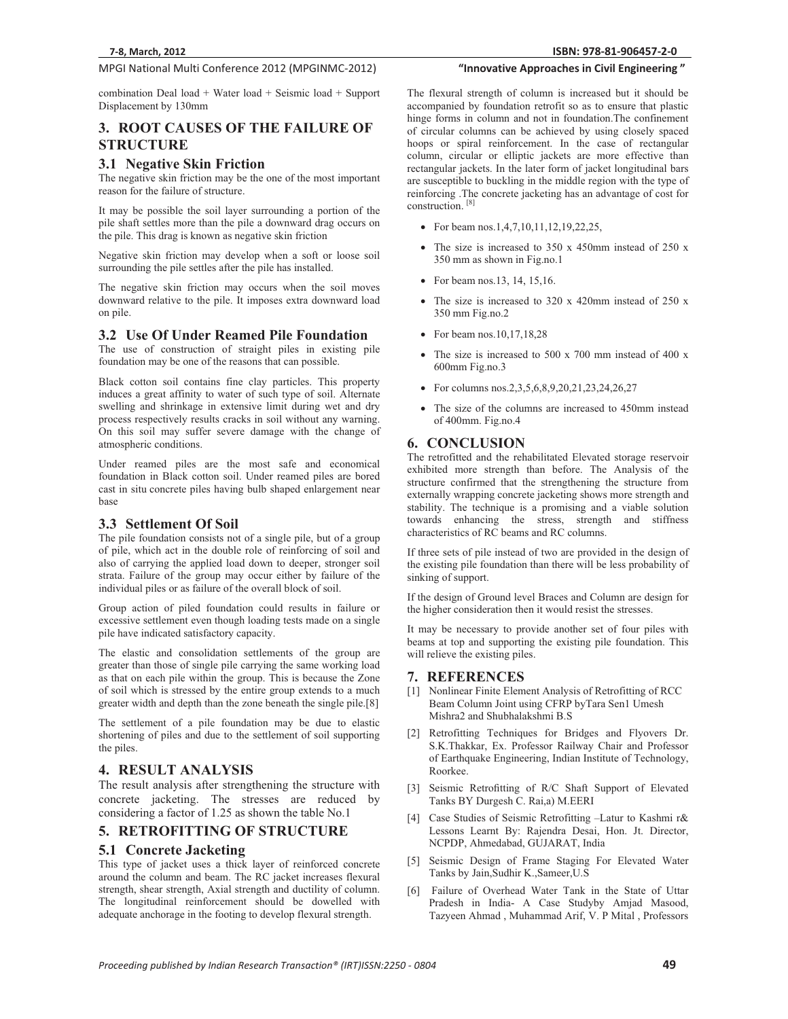# **MPGI National Multi Conference 2012 (MPGINMC-2012) <b>The Conference of City Conference 2012** (MPGINMC-2012) **The Conference of City Conference 2012** (MPGINMC-2012)

combination Deal load + Water load + Seismic load + Support Displacement by 130mm

# **3. ROOT CAUSES OF THE FAILURE OF STRUCTURE**

#### **3.1 Negative Skin Friction**

The negative skin friction may be the one of the most important reason for the failure of structure.

It may be possible the soil layer surrounding a portion of the pile shaft settles more than the pile a downward drag occurs on the pile. This drag is known as negative skin friction

Negative skin friction may develop when a soft or loose soil surrounding the pile settles after the pile has installed.

The negative skin friction may occurs when the soil moves downward relative to the pile. It imposes extra downward load on pile.

#### **3.2 Use Of Under Reamed Pile Foundation**

The use of construction of straight piles in existing pile foundation may be one of the reasons that can possible.

Black cotton soil contains fine clay particles. This property induces a great affinity to water of such type of soil. Alternate swelling and shrinkage in extensive limit during wet and dry process respectively results cracks in soil without any warning. On this soil may suffer severe damage with the change of atmospheric conditions.

Under reamed piles are the most safe and economical foundation in Black cotton soil. Under reamed piles are bored cast in situ concrete piles having bulb shaped enlargement near base

# **3.3 Settlement Of Soil**

The pile foundation consists not of a single pile, but of a group of pile, which act in the double role of reinforcing of soil and also of carrying the applied load down to deeper, stronger soil strata. Failure of the group may occur either by failure of the individual piles or as failure of the overall block of soil.

Group action of piled foundation could results in failure or excessive settlement even though loading tests made on a single pile have indicated satisfactory capacity.

The elastic and consolidation settlements of the group are greater than those of single pile carrying the same working load as that on each pile within the group. This is because the Zone of soil which is stressed by the entire group extends to a much greater width and depth than the zone beneath the single pile.[8]

The settlement of a pile foundation may be due to elastic shortening of piles and due to the settlement of soil supporting the piles.

#### **4. RESULT ANALYSIS**

The result analysis after strengthening the structure with concrete jacketing. The stresses are reduced by considering a factor of 1.25 as shown the table No.1

# **5. RETROFITTING OF STRUCTURE**

#### **5.1 Concrete Jacketing**

This type of jacket uses a thick layer of reinforced concrete around the column and beam. The RC jacket increases flexural strength, shear strength, Axial strength and ductility of column. The longitudinal reinforcement should be dowelled with adequate anchorage in the footing to develop flexural strength.

The flexural strength of column is increased but it should be accompanied by foundation retrofit so as to ensure that plastic hinge forms in column and not in foundation.The confinement of circular columns can be achieved by using closely spaced hoops or spiral reinforcement. In the case of rectangular column, circular or elliptic jackets are more effective than rectangular jackets. In the later form of jacket longitudinal bars are susceptible to buckling in the middle region with the type of reinforcing .The concrete jacketing has an advantage of cost for construction.<sup>[8]</sup>

- For beam nos.1,4,7,10,11,12,19,22,25,
- The size is increased to 350 x 450mm instead of 250 x 350 mm as shown in Fig.no.1
- For beam nos. 13, 14, 15, 16.
- The size is increased to 320 x 420mm instead of 250 x 350 mm Fig.no.2
- For beam nos.  $10, 17, 18, 28$
- The size is increased to 500 x 700 mm instead of 400 x 600mm Fig.no.3
- For columns nos.2,3,5,6,8,9,20,21,23,24,26,27
- - The size of the columns are increased to 450mm instead of 400mm. Fig.no.4

# **6. CONCLUSION**

The retrofitted and the rehabilitated Elevated storage reservoir exhibited more strength than before. The Analysis of the structure confirmed that the strengthening the structure from externally wrapping concrete jacketing shows more strength and stability. The technique is a promising and a viable solution towards enhancing the stress, strength and stiffness characteristics of RC beams and RC columns.

If three sets of pile instead of two are provided in the design of the existing pile foundation than there will be less probability of sinking of support.

If the design of Ground level Braces and Column are design for the higher consideration then it would resist the stresses.

It may be necessary to provide another set of four piles with beams at top and supporting the existing pile foundation. This will relieve the existing piles.

#### **7. REFERENCES**

- [1] Nonlinear Finite Element Analysis of Retrofitting of RCC Beam Column Joint using CFRP byTara Sen1 Umesh Mishra2 and Shubhalakshmi B.S
- [2] Retrofitting Techniques for Bridges and Flyovers Dr. S.K.Thakkar, Ex. Professor Railway Chair and Professor of Earthquake Engineering, Indian Institute of Technology, Roorkee.
- [3] Seismic Retrofitting of R/C Shaft Support of Elevated Tanks BY Durgesh C. Rai,a) M.EERI
- [4] Case Studies of Seismic Retrofitting –Latur to Kashmi r& Lessons Learnt By: Rajendra Desai, Hon. Jt. Director, NCPDP, Ahmedabad, GUJARAT, India
- [5] Seismic Design of Frame Staging For Elevated Water Tanks by Jain,Sudhir K.,Sameer,U.S
- [6] Failure of Overhead Water Tank in the State of Uttar Pradesh in India- A Case Studyby Amjad Masood, Tazyeen Ahmad , Muhammad Arif, V. P Mital , Professors

## **81-906457-2-0 "InnovativeApproachesinCivilEngineering"**